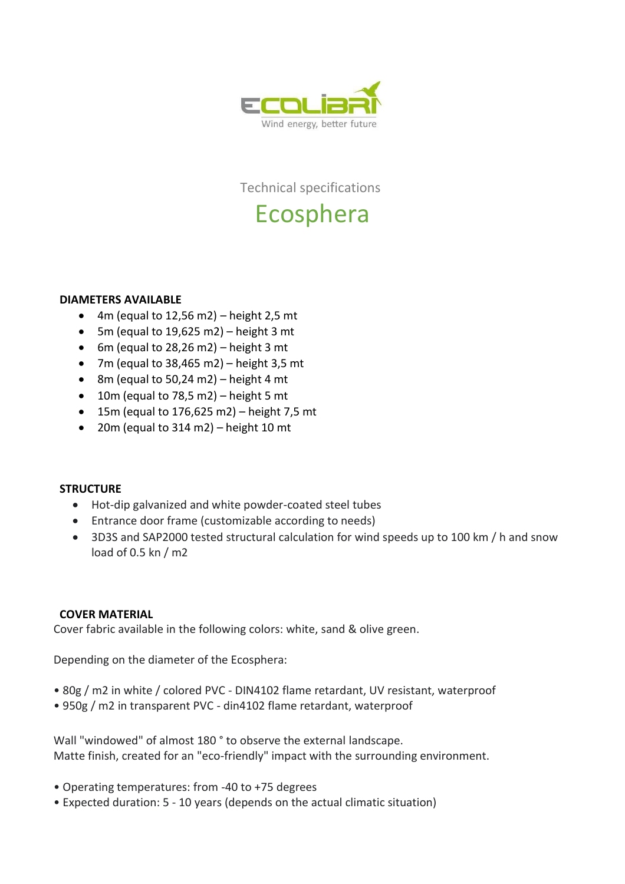

Technical specifications

# Ecosphera

## **DIAMETERS AVAILABLE**

- 4m (equal to 12,56 m2) height 2,5 mt
- 5m (equal to 19,625 m2) height 3 mt
- 6m (equal to 28,26 m2) height 3 mt
- 7m (equal to  $38,465$  m2) height 3,5 mt
- 8m (equal to 50,24 m2) height 4 mt
- $\bullet$  10m (equal to 78,5 m2) height 5 mt
- $\bullet$  15m (equal to 176,625 m2) height 7,5 mt
- 20m (equal to 314 m2) height 10 mt

## **STRUCTURE**

- Hot-dip galvanized and white powder-coated steel tubes
- Entrance door frame (customizable according to needs)
- 3D3S and SAP2000 tested structural calculation for wind speeds up to 100 km / h and snow load of 0.5 kn / m2

### **COVER MATERIAL**

Cover fabric available in the following colors: white, sand & olive green.

Depending on the diameter of the Ecosphera:

- 80g / m2 in white / colored PVC DIN4102 flame retardant, UV resistant, waterproof
- 950g / m2 in transparent PVC din4102 flame retardant, waterproof

Wall "windowed" of almost 180 ° to observe the external landscape. Matte finish, created for an "eco-friendly" impact with the surrounding environment.

- Operating temperatures: from -40 to +75 degrees
- Expected duration: 5 10 years (depends on the actual climatic situation)